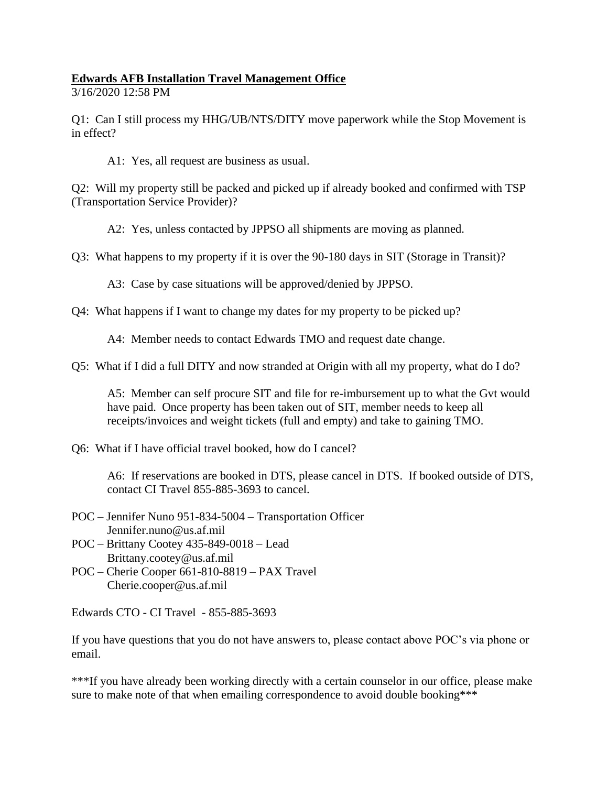## **Edwards AFB Installation Travel Management Office**

3/16/2020 12:58 PM

Q1: Can I still process my HHG/UB/NTS/DITY move paperwork while the Stop Movement is in effect?

A1: Yes, all request are business as usual.

Q2: Will my property still be packed and picked up if already booked and confirmed with TSP (Transportation Service Provider)?

A2: Yes, unless contacted by JPPSO all shipments are moving as planned.

Q3: What happens to my property if it is over the 90-180 days in SIT (Storage in Transit)?

A3: Case by case situations will be approved/denied by JPPSO.

Q4: What happens if I want to change my dates for my property to be picked up?

A4: Member needs to contact Edwards TMO and request date change.

Q5: What if I did a full DITY and now stranded at Origin with all my property, what do I do?

A5: Member can self procure SIT and file for re-imbursement up to what the Gvt would have paid. Once property has been taken out of SIT, member needs to keep all receipts/invoices and weight tickets (full and empty) and take to gaining TMO.

Q6: What if I have official travel booked, how do I cancel?

A6: If reservations are booked in DTS, please cancel in DTS. If booked outside of DTS, contact CI Travel 855-885-3693 to cancel.

- POC Jennifer Nuno 951-834-5004 Transportation Officer Jennifer.nuno@us.af.mil
- POC Brittany Cootey 435-849-0018 Lead Brittany.cootey@us.af.mil
- POC Cherie Cooper 661-810-8819 PAX Travel Cherie.cooper@us.af.mil

Edwards CTO - CI Travel - 855-885-3693

If you have questions that you do not have answers to, please contact above POC's via phone or email.

\*\*\*If you have already been working directly with a certain counselor in our office, please make sure to make note of that when emailing correspondence to avoid double booking\*\*\*